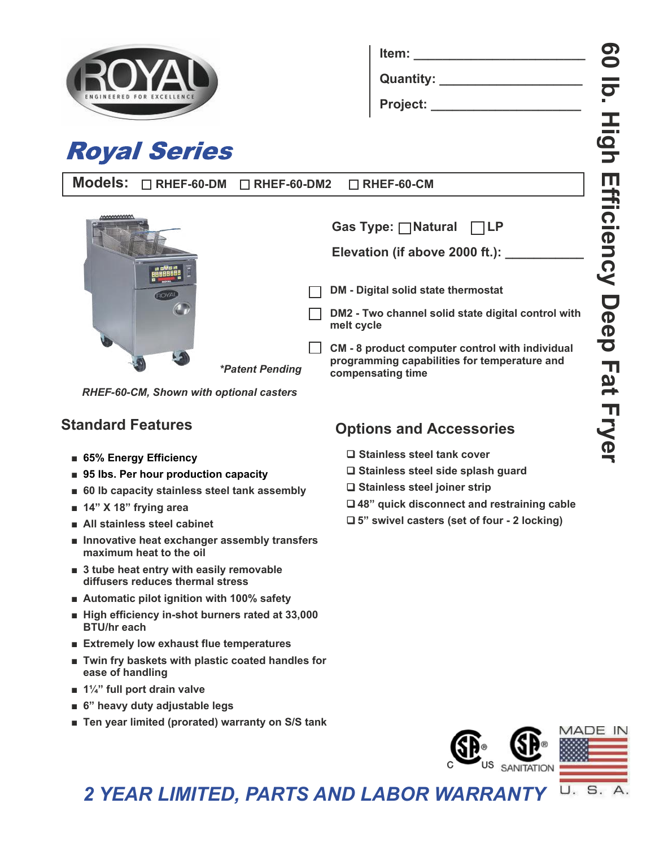

**Royal Series** 

| ltem:       |  |
|-------------|--|
| Quantity: _ |  |
| Project:    |  |

| Models: □ RHEF-60-DM □ RHEF-60-DM2 □ RHEF-60-CM |  |  |
|-------------------------------------------------|--|--|
|-------------------------------------------------|--|--|

*\*Patent Pending*



|--|--|--|

Elevation (if above 2000 ft.):

**DM - Digital solid state thermostat**

**DM2 - Two channel solid state digital control with melt cycle**

**CM - 8 product computer control with individual programming capabilities for temperature and compensating time**

*RHEF-60-CM, Shown with optional casters*

## **Standard Features**

- **■ 65% Energy Efficiency**
- 95 lbs. Per hour production capacity
- 60 lb capacity stainless steel tank assembly
- **■ 14" X 18" frying area**
- **■ All stainless steel cabinet**
- **■ Innovative heat exchanger assembly transfers maximum heat to the oil**
- **■ 3 tube heat entry with easily removable diffusers reduces thermal stress**
- Automatic pilot ignition with 100% safety
- **■ High efficiency in-shot burners rated at 33,000 BTU/hr each**
- **■ Extremely low exhaust flue temperatures**
- **Twin fry baskets with plastic coated handles for ease of handling**
- **■ 1¼" full port drain valve**
- **■ 6" heavy duty adjustable legs**
- Ten year limited (prorated) warranty on S/S tank

# **Options and Accessories**

- **Stainless steel tank cover**
- **Stainless steel side splash guard**
- **Stainless steel joiner strip**
- **48" quick disconnect and restraining cable**
- **5" swivel casters (set of four 2 locking)**



### *2 YEAR LIMITED, PARTS AND LABOR WARRANTY* U. S.